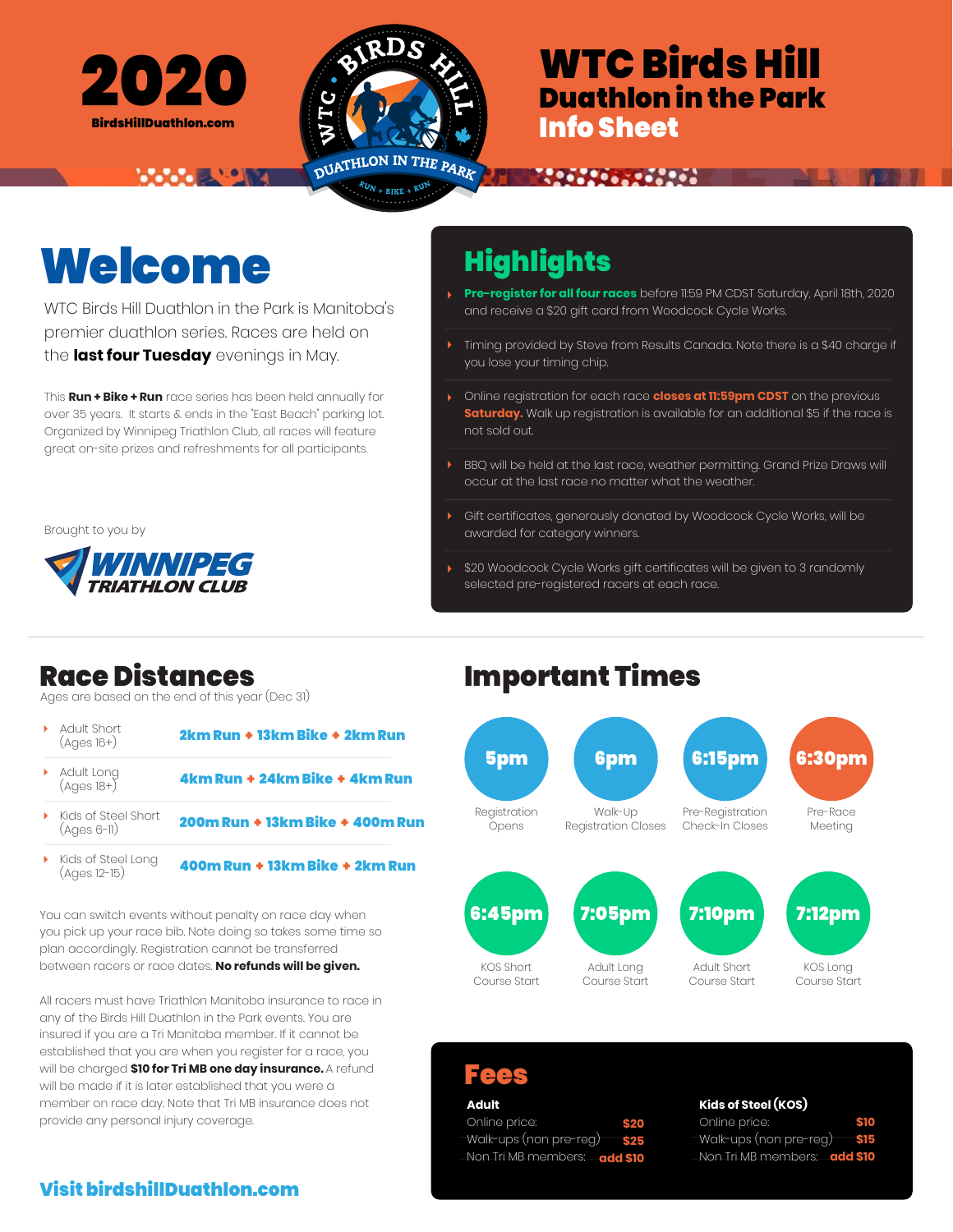



 $RU_N$  + BIKE + RUN

## 2020 A<sup>NDS</sup> WTC Birds Hill Duathlon in the Park Info Sheet

# Welcome Highlights

**WARDEN BEAT STATE** 

WTC Birds Hill Duathlon in the Park is Manitoba's premier duathlon series. Races are held on the **last four Tuesday** evenings in May.

This **Run + Bike + Run** race series has been held annually for over 35 years. It starts & ends in the "East Beach" parking lot. Organized by Winnipeg Triathlon Club, all races will feature great on-site prizes and refreshments for all participants.

Brought to you by



**Pre-register for all four races** before 11:59 PM CDST Saturday, April 18th, 2020 and receive a \$20 gift card from Woodcock Cycle Works.

**ARCHARGE COMPOS** 

- Timing provided by Steve from Results Canada. Note there is a \$40 charge if you lose your timing chip.
- Online registration for each race **closes at 11:59pm CDST** on the previous **Saturday.** Walk up registration is available for an additional \$5 if the race is not sold out.
- BBQ will be held at the last race, weather permitting. Grand Prize Draws will occur at the last race no matter what the weather.
- Gift certificates, generously donated by Woodcock Cycle Works, will be awarded for category winners.
- \$20 Woodcock Cycle Works gift certificates will be given to 3 randomly selected pre-registered racers at each race.

Ages are based on the end of this year (Dec 31)

- Adult Short 2km Run + 13km Bike + 2km Run (Ages 16+) Adult Long 4km Run + 24km Bike + 4km Run (Ages 18+) ¥. Kids of Steel Short 200m Run + 13km Bike + 400m Run (Ages 6-11)
- Kids of Steel Long (Ages 12-15)

400m Run + 13km Bike + 2km Run

You can switch events without penalty on race day when you pick up your race bib. Note doing so takes some time so plan accordingly. Registration cannot be transferred between racers or race dates. **No refunds will be given.**

All racers must have Triathlon Manitoba insurance to race in any of the Birds Hill Duathlon in the Park events. You are insured if you are a Tri Manitoba member. If it cannot be established that you are when you register for a race, you will be charged **\$10 for Tri MB one day insurance.** A refund will be made if it is later established that you were a member on race day. Note that Tri MB insurance does not provide any personal injury coverage.

### Race Distances Important Times



### Fees

**Adult** Online price: Walk-ups (non pre-reg) Non Tri MB members: **\$20 \$25 add \$10**

#### **Kids of Steel (KOS)**

Online price: Walk-ups (non pre-reg) Non Tri MB members: **add \$10 \$10 \$15**

### Visit birdshillDuathlon.com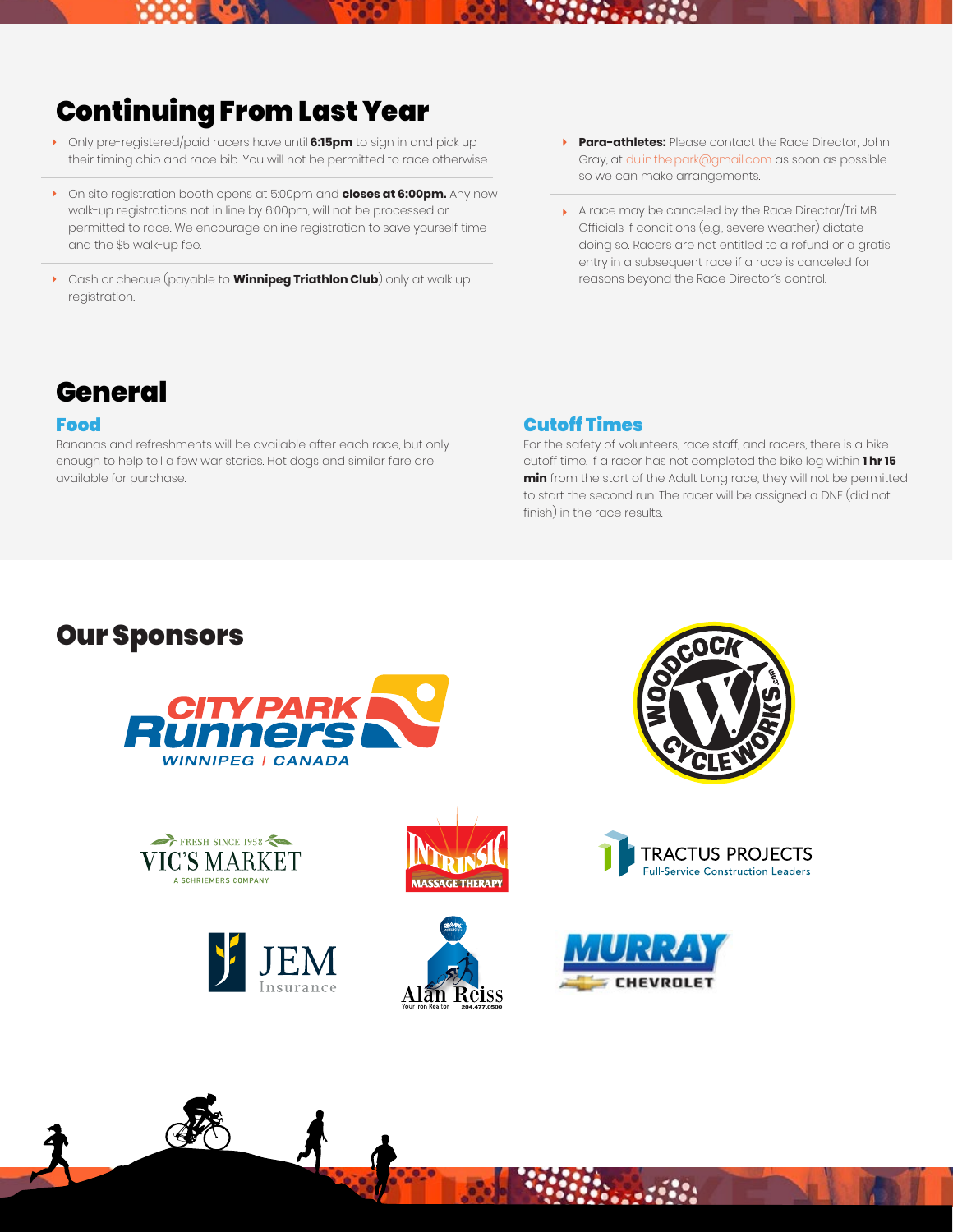### Continuing From Last Year

- Only pre-registered/paid racers have until **6:15pm** to sign in and pick up their timing chip and race bib. You will not be permitted to race otherwise.
- On site registration booth opens at 5:00pm and **closes at 6:00pm.** Any new walk-up registrations not in line by 6:00pm, will not be processed or permitted to race. We encourage online registration to save yourself time and the \$5 walk-up fee.
- **Cash or cheque (payable to Winnipeg Triathlon Club)** only at walk up registration.
- **Para-athletes:** Please contact the Race Director, John Gray, at du.in.the.park@gmail.com as soon as possible so we can make arrangements.
- A race may be canceled by the Race Director/Tri MB Officials if conditions (e.g., severe weather) dictate doing so. Racers are not entitled to a refund or a gratis entry in a subsequent race if a race is canceled for reasons beyond the Race Director's control.

### General

#### Food

Bananas and refreshments will be available after each race, but only enough to help tell a few war stories. Hot dogs and similar fare are available for purchase.

### Cutoff Times

For the safety of volunteers, race staff, and racers, there is a bike cutoff time. If a racer has not completed the bike leg within **1 hr 15 min** from the start of the Adult Long race, they will not be permitted to start the second run. The racer will be assigned a DNF (did not finish) in the race results.